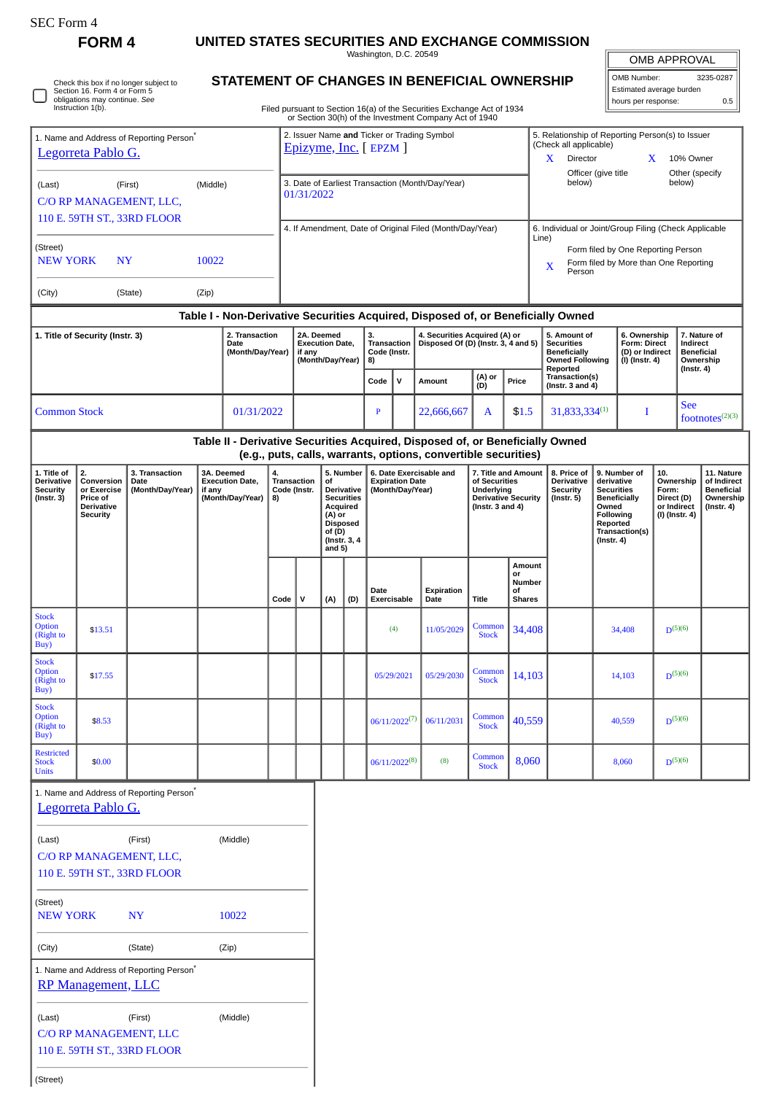| r C Form |
|----------|
|----------|

□

Check this box if no longer subject to Section 16. Form 4 or Form 5 obligations may continue. *See* Instruction 1(b).

**FORM 4 UNITED STATES SECURITIES AND EXCHANGE COMMISSION**

Washington, D.C. 20549

OMB APPROVAL

| OMB Number:              | 3235-0287 |
|--------------------------|-----------|
| Estimated average burden |           |
| hours per response:      | 0.5       |
|                          |           |

**STATEMENT OF CHANGES IN BENEFICIAL OWNERSHIP** Filed pursuant to Section 16(a) of the Securities Exchange Act of 1934 or Section 30(h) of the Investment Company Act of 1940

| 1. Name and Address of Reporting Person <sup>7</sup><br>Legorreta Pablo G. |                                              |                                                                  |        |                                      | 2. Issuer Name and Ticker or Trading Symbol<br>Epizyme, Inc. [ EPZM ] |                                                                                                                                       |                  |                                   |                                                   |                                     |                                                                                                                                                 |                                            | 5. Relationship of Reporting Person(s) to Issuer<br>(Check all applicable)<br>Director<br>10% Owner<br>X<br>X<br>Officer (give title<br>Other (specify<br>below)<br>below) |                                                                                           |                                                   |                                                                |                                    |                    |                                                    |  |
|----------------------------------------------------------------------------|----------------------------------------------|------------------------------------------------------------------|--------|--------------------------------------|-----------------------------------------------------------------------|---------------------------------------------------------------------------------------------------------------------------------------|------------------|-----------------------------------|---------------------------------------------------|-------------------------------------|-------------------------------------------------------------------------------------------------------------------------------------------------|--------------------------------------------|----------------------------------------------------------------------------------------------------------------------------------------------------------------------------|-------------------------------------------------------------------------------------------|---------------------------------------------------|----------------------------------------------------------------|------------------------------------|--------------------|----------------------------------------------------|--|
| (Middle)<br>(Last)<br>(First)<br>C/O RP MANAGEMENT, LLC,                   |                                              |                                                                  |        |                                      |                                                                       | 3. Date of Earliest Transaction (Month/Day/Year)<br>01/31/2022                                                                        |                  |                                   |                                                   |                                     |                                                                                                                                                 |                                            |                                                                                                                                                                            |                                                                                           |                                                   |                                                                |                                    |                    |                                                    |  |
| 110 E. 59TH ST., 33RD FLOOR                                                |                                              |                                                                  |        |                                      |                                                                       | 4. If Amendment, Date of Original Filed (Month/Day/Year)                                                                              |                  |                                   |                                                   |                                     |                                                                                                                                                 |                                            |                                                                                                                                                                            | 6. Individual or Joint/Group Filing (Check Applicable                                     |                                                   |                                                                |                                    |                    |                                                    |  |
| (Street)<br><b>NEW YORK</b><br>10022<br><b>NY</b>                          |                                              |                                                                  |        |                                      |                                                                       |                                                                                                                                       |                  |                                   |                                                   |                                     |                                                                                                                                                 |                                            |                                                                                                                                                                            | Line)<br>Form filed by One Reporting Person<br>Form filed by More than One Reporting<br>X |                                                   |                                                                |                                    |                    |                                                    |  |
|                                                                            |                                              |                                                                  |        |                                      |                                                                       |                                                                                                                                       |                  |                                   |                                                   |                                     |                                                                                                                                                 |                                            |                                                                                                                                                                            | Person                                                                                    |                                                   |                                                                |                                    |                    |                                                    |  |
| (City)<br>(State)<br>(Zip)                                                 |                                              |                                                                  |        |                                      |                                                                       |                                                                                                                                       |                  |                                   |                                                   |                                     |                                                                                                                                                 |                                            |                                                                                                                                                                            |                                                                                           |                                                   |                                                                |                                    |                    |                                                    |  |
|                                                                            | 1. Title of Security (Instr. 3)              |                                                                  |        | 2. Transaction                       |                                                                       | Table I - Non-Derivative Securities Acquired, Disposed of, or Beneficially Owned<br>2A. Deemed<br>3.<br>4. Securities Acquired (A) or |                  |                                   |                                                   |                                     |                                                                                                                                                 |                                            | 5. Amount of<br>6. Ownership<br>7. Nature of                                                                                                                               |                                                                                           |                                                   |                                                                |                                    |                    |                                                    |  |
|                                                                            |                                              |                                                                  |        | Date<br>(Month/Day/Year)             |                                                                       | <b>Execution Date,</b><br>if any<br>(Month/Day/Year)                                                                                  |                  | Transaction<br>Code (Instr.<br>8) |                                                   | Disposed Of (D) (Instr. 3, 4 and 5) |                                                                                                                                                 |                                            | <b>Securities</b><br>Beneficially<br><b>Owned Following</b><br>Reported                                                                                                    | Form: Direct<br>(D) or Indirect<br>(I) (Instr. 4)                                         |                                                   | Indirect<br><b>Beneficial</b><br>Ownership<br>$($ Instr. 4 $)$ |                                    |                    |                                                    |  |
|                                                                            |                                              |                                                                  |        |                                      |                                                                       |                                                                                                                                       |                  |                                   | Code                                              | $\mathsf{v}$                        | <b>Amount</b>                                                                                                                                   | (A) or<br>(D)<br>Price                     |                                                                                                                                                                            | Transaction(s)<br>(Instr. $3$ and $4$ )                                                   |                                                   |                                                                |                                    |                    |                                                    |  |
| <b>Common Stock</b>                                                        |                                              |                                                                  |        | 01/31/2022                           |                                                                       |                                                                                                                                       |                  | $\mathbf{P}$                      |                                                   | 22,666,667                          | A                                                                                                                                               | \$1.5                                      | 31,833,334(1)                                                                                                                                                              | I                                                                                         |                                                   | <b>See</b>                                                     |                                    | footnotes $(2)(3)$ |                                                    |  |
|                                                                            |                                              |                                                                  |        |                                      |                                                                       |                                                                                                                                       |                  |                                   |                                                   |                                     | Table II - Derivative Securities Acquired, Disposed of, or Beneficially Owned<br>(e.g., puts, calls, warrants, options, convertible securities) |                                            |                                                                                                                                                                            |                                                                                           |                                                   |                                                                |                                    |                    |                                                    |  |
| 1. Title of<br>Derivative                                                  | 2.<br>Conversion                             | 3. Transaction<br>Date                                           |        | 3A. Deemed<br><b>Execution Date,</b> | 4.<br><b>Transaction</b>                                              |                                                                                                                                       | of               | 5. Number                         | 6. Date Exercisable and<br><b>Expiration Date</b> |                                     |                                                                                                                                                 | of Securities                              | 7. Title and Amount                                                                                                                                                        | 8. Price of<br>Derivative                                                                 | 9. Number of<br>derivative                        |                                                                | 10.<br>Ownership                   |                    | 11. Nature<br>of Indirect                          |  |
| <b>Security</b><br>$($ Instr. 3 $)$                                        | or Exercise<br>Price of<br><b>Derivative</b> | (Month/Day/Year)                                                 | if any | (Month/Day/Year)                     | Code (Instr.<br>8)                                                    |                                                                                                                                       | Acquired         | Derivative<br><b>Securities</b>   |                                                   | (Month/Day/Year)                    |                                                                                                                                                 | <b>Underlying</b><br>(Instr. $3$ and $4$ ) | <b>Derivative Security</b>                                                                                                                                                 | <b>Security</b><br>$($ Instr. $5)$                                                        | <b>Securities</b><br><b>Beneficially</b><br>Owned |                                                                | Form:<br>Direct (D)<br>or Indirect |                    | <b>Beneficial</b><br>Ownership<br>$($ Instr. 4 $)$ |  |
|                                                                            | <b>Security</b>                              |                                                                  |        |                                      |                                                                       |                                                                                                                                       | (A) or<br>of (D) | <b>Disposed</b>                   |                                                   |                                     |                                                                                                                                                 |                                            |                                                                                                                                                                            |                                                                                           |                                                   | Following<br>Reported<br>Transaction(s)                        | (I) (Instr. 4)                     |                    |                                                    |  |
|                                                                            |                                              |                                                                  |        |                                      |                                                                       |                                                                                                                                       | and $5)$         | (Instr. 3, 4                      |                                                   |                                     |                                                                                                                                                 |                                            |                                                                                                                                                                            |                                                                                           | $($ Instr. 4 $)$                                  |                                                                |                                    |                    |                                                    |  |
|                                                                            |                                              |                                                                  |        |                                      |                                                                       |                                                                                                                                       |                  |                                   |                                                   |                                     |                                                                                                                                                 | Amount<br>or                               |                                                                                                                                                                            |                                                                                           |                                                   |                                                                |                                    |                    |                                                    |  |
|                                                                            |                                              |                                                                  |        |                                      | Code                                                                  | $\mathsf{v}$                                                                                                                          | (A)              | (D)                               | Date                                              | Exercisable                         | Expiration<br>Date                                                                                                                              | Title                                      | Number<br>οf<br><b>Shares</b>                                                                                                                                              |                                                                                           |                                                   |                                                                |                                    |                    |                                                    |  |
| <b>Stock</b><br>Option<br>(Right to<br>Buy)                                | \$13.51                                      |                                                                  |        |                                      |                                                                       |                                                                                                                                       |                  |                                   |                                                   | (4)                                 | 11/05/2029                                                                                                                                      | Common<br><b>Stock</b>                     | 34,408                                                                                                                                                                     |                                                                                           |                                                   | 34,408                                                         | $D^{(5)(6)}$                       |                    |                                                    |  |
| <b>Stock</b><br>Option<br>(Right to<br>Buy)                                | \$17.55                                      |                                                                  |        |                                      |                                                                       |                                                                                                                                       |                  |                                   |                                                   | 05/29/2021                          | 05/29/2030                                                                                                                                      | Common<br><b>Stock</b>                     | 14,103                                                                                                                                                                     | 14,103                                                                                    |                                                   |                                                                | $D^{(5)(6)}$                       |                    |                                                    |  |
| <b>Stock</b><br>Option<br>(Right to<br>Buy)                                | \$8.53                                       |                                                                  |        |                                      |                                                                       |                                                                                                                                       |                  |                                   | $06/11/2022^{(7)}$<br>06/11/2031                  |                                     | Common<br><b>Stock</b>                                                                                                                          | 40,559                                     |                                                                                                                                                                            | 40,559                                                                                    |                                                   | $D^{(5)(6)}$                                                   |                                    |                    |                                                    |  |
| <b>Restricted</b><br><b>Stock</b><br><b>Units</b>                          | \$0.00                                       |                                                                  |        |                                      |                                                                       |                                                                                                                                       |                  |                                   |                                                   | $06/11/2022^{(8)}$                  | (8)                                                                                                                                             | Common<br><b>Stock</b>                     | 8,060                                                                                                                                                                      | 8,060                                                                                     |                                                   |                                                                | $D^{(5)(6)}$                       |                    |                                                    |  |
|                                                                            | Legorreta Pablo G.                           | 1. Name and Address of Reporting Person <sup>*</sup>             |        |                                      |                                                                       |                                                                                                                                       |                  |                                   |                                                   |                                     |                                                                                                                                                 |                                            |                                                                                                                                                                            |                                                                                           |                                                   |                                                                |                                    |                    |                                                    |  |
|                                                                            |                                              |                                                                  |        |                                      |                                                                       |                                                                                                                                       |                  |                                   |                                                   |                                     |                                                                                                                                                 |                                            |                                                                                                                                                                            |                                                                                           |                                                   |                                                                |                                    |                    |                                                    |  |
| (Middle)<br>(Last)<br>(First)                                              |                                              |                                                                  |        |                                      |                                                                       |                                                                                                                                       |                  |                                   |                                                   |                                     |                                                                                                                                                 |                                            |                                                                                                                                                                            |                                                                                           |                                                   |                                                                |                                    |                    |                                                    |  |
|                                                                            |                                              | C/O RP MANAGEMENT, LLC,<br>110 E. 59TH ST., 33RD FLOOR           |        |                                      |                                                                       |                                                                                                                                       |                  |                                   |                                                   |                                     |                                                                                                                                                 |                                            |                                                                                                                                                                            |                                                                                           |                                                   |                                                                |                                    |                    |                                                    |  |
| (Street)<br>10022<br><b>NEW YORK</b><br>NY                                 |                                              |                                                                  |        |                                      |                                                                       |                                                                                                                                       |                  |                                   |                                                   |                                     |                                                                                                                                                 |                                            |                                                                                                                                                                            |                                                                                           |                                                   |                                                                |                                    |                    |                                                    |  |
| (City)<br>(State)<br>(Zip)                                                 |                                              |                                                                  |        |                                      |                                                                       |                                                                                                                                       |                  |                                   |                                                   |                                     |                                                                                                                                                 |                                            |                                                                                                                                                                            |                                                                                           |                                                   |                                                                |                                    |                    |                                                    |  |
|                                                                            | RP Management, LLC                           | 1. Name and Address of Reporting Person <sup>*</sup>             |        |                                      |                                                                       |                                                                                                                                       |                  |                                   |                                                   |                                     |                                                                                                                                                 |                                            |                                                                                                                                                                            |                                                                                           |                                                   |                                                                |                                    |                    |                                                    |  |
| (Last)                                                                     |                                              | (First)<br>C/O RP MANAGEMENT, LLC<br>110 E. 59TH ST., 33RD FLOOR |        | (Middle)                             |                                                                       |                                                                                                                                       |                  |                                   |                                                   |                                     |                                                                                                                                                 |                                            |                                                                                                                                                                            |                                                                                           |                                                   |                                                                |                                    |                    |                                                    |  |
| (Street)                                                                   |                                              |                                                                  |        |                                      |                                                                       |                                                                                                                                       |                  |                                   |                                                   |                                     |                                                                                                                                                 |                                            |                                                                                                                                                                            |                                                                                           |                                                   |                                                                |                                    |                    |                                                    |  |